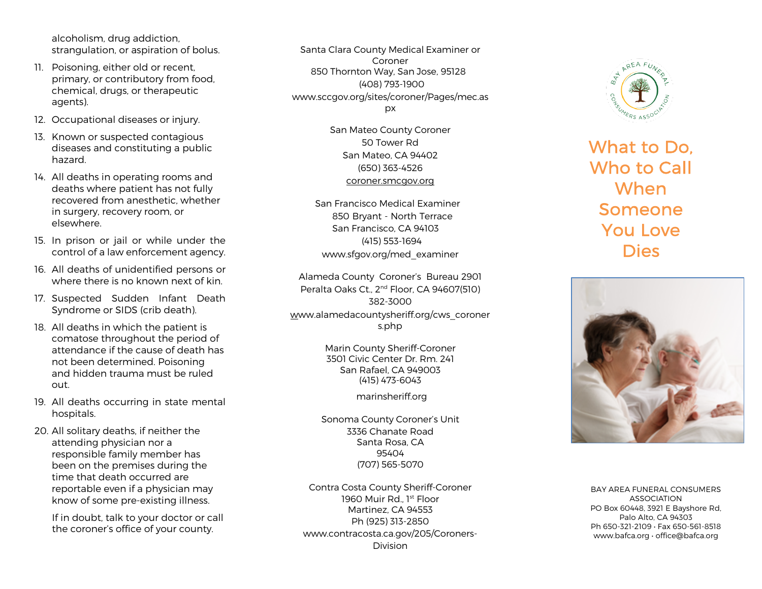alcoholism, drug addiction, strangulation, or aspiration of bolus.

- 11. Poisoning, either old or recent, primary, or contributory from food, chemical, drugs, or therapeutic agents).
- 12. Occupational diseases or injury.
- 13. Known or suspected contagious diseases and constituting a public hazard.
- 14. All deaths in operating rooms and deaths where patient has not fully recovered from anesthetic, whether in surgery, recovery room, or elsewhere.
- 15. In prison or jail or while under the control of a law enforcement agency.
- 16. All deaths of unidentified persons or where there is no known next of kin.
- 17. Suspected Sudden Infant Death Syndrome or SIDS (crib death).
- 18. All deaths in which the patient is comatose throughout the period of attendance if the cause of death has not been determined. Poisoning and hidden trauma must be ruled out.
- 19. All deaths occurring in state mental hospitals.
- 20. All solitary deaths, if neither the attending physician nor a responsible family member has been on the premises during the time that death occurred are reportable even if a physician may know of some pre -existing illness.

If in doubt, talk to your doctor or call the coroner's office of your county.

Santa Clara County Medical Examiner or Coroner 850 Thornton Way, San Jose, 95128 (408) 793 -1900 www.sccgov.org/sites/coroner/Pages/mec.as px

> San Mateo County Coroner 50 Tower Rd San Mateo, CA 94402 (650) 363 -4526 coroner.smcgov.org

San Francisco Medical Examiner 850 Bryant - North Terrace San Francisco, CA 94103 (415) 553 -1694 www.sfgov.org/med\_examiner

Alameda County Coroner's Bureau 2901 Peralta Oaks Ct., 2<sup>nd</sup> Floor, CA 94607(510) 382 -3000 www.alamedacountysheriff.org/cws\_coroner s.php

> Marin County Sheriff-Coroner 3501 Civic Center Dr. Rm. 241 San Rafael, CA 949003 (415) 473 -6043

> > marinsheriff.org

Sonoma County Coroner's Unit 3336 Chanate Road Santa Rosa, CA 95404 (707) 565 -5070

Contra Costa County Sheriff-Coroner 1960 Muir Rd., 1st Floor Martinez, CA 94553 Ph (925) 313 -2850 www.contracosta.ca.gov/205/Coroners - Division



What to Do, Who to Call **When** Someone You Love **Dies** 



BAY AREA FUNERAL CONSUMERS ASSOCIATION PO Box 60448, 3921 E Bayshore Rd, Palo Alto, CA 94303 Ph 650-321-2109 · Fax 650-561-8518 www.bafca.org • office@bafca.org